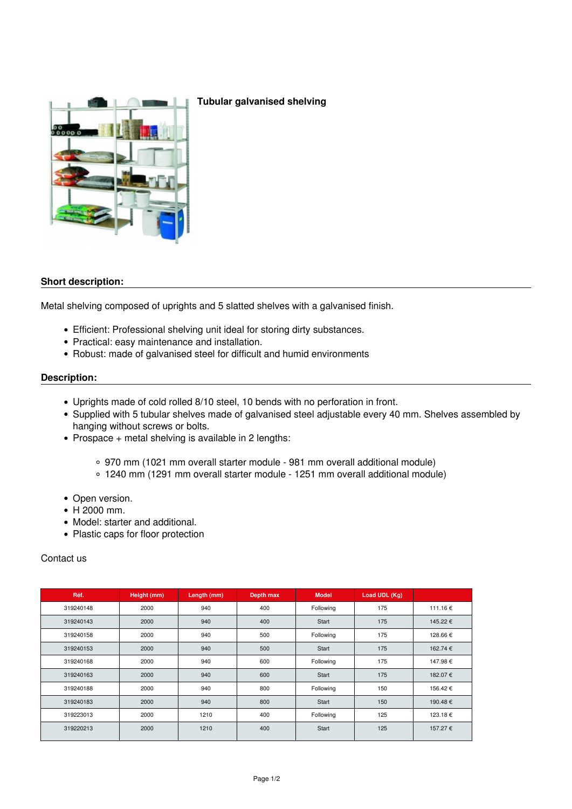

## **Tubular galvanised shelving**

## **Short description:**

Metal shelving composed of uprights and 5 slatted shelves with a galvanised finish.

- Efficient: Professional shelving unit ideal for storing dirty substances.
- Practical: easy maintenance and installation.
- Robust: made of galvanised steel for difficult and humid environments

## **Description:**

- Uprights made of cold rolled 8/10 steel, 10 bends with no perforation in front.
- Supplied with 5 tubular shelves made of galvanised steel adjustable every 40 mm. Shelves assembled by hanging without screws or bolts.
- Prospace  $+$  metal shelving is available in 2 lengths:
	- 970 mm (1021 mm overall starter module 981 mm overall additional module)
	- 1240 mm (1291 mm overall starter module 1251 mm overall additional module)
- Open version.
- H 2000 mm.
- Model: starter and additional.
- Plastic caps for floor protection

## Contact us

| Réf.      | Height (mm) | Length (mm) | Depth max | <b>Model</b> | Load UDL (Kg) |          |
|-----------|-------------|-------------|-----------|--------------|---------------|----------|
| 319240148 | 2000        | 940         | 400       | Following    | 175           | 111.16 € |
| 319240143 | 2000        | 940         | 400       | Start        | 175           | 145.22 € |
| 319240158 | 2000        | 940         | 500       | Following    | 175           | 128.66 € |
| 319240153 | 2000        | 940         | 500       | Start        | 175           | 162.74 € |
| 319240168 | 2000        | 940         | 600       | Following    | 175           | 147.98 € |
| 319240163 | 2000        | 940         | 600       | Start        | 175           | 182.07 € |
| 319240188 | 2000        | 940         | 800       | Following    | 150           | 156.42 € |
| 319240183 | 2000        | 940         | 800       | Start        | 150           | 190.48 € |
| 319223013 | 2000        | 1210        | 400       | Following    | 125           | 123.18 € |
| 319220213 | 2000        | 1210        | 400       | Start        | 125           | 157.27 € |